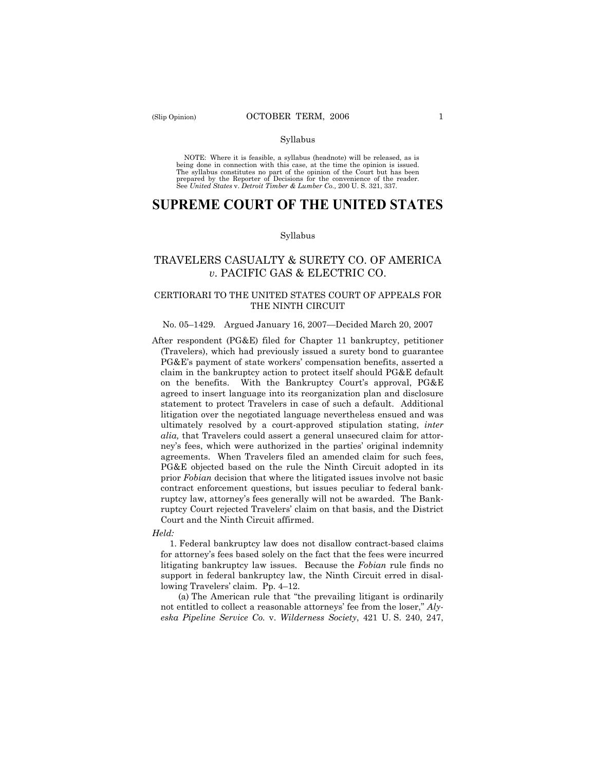#### Syllabus

NOTE: Where it is feasible, a syllabus (headnote) will be released, as is being done in connection with this case, at the time the opinion is issued. The syllabus constitutes no part of the opinion of the Court but has been<br>prepared by the Reporter of Decisions for the convenience of the reader.<br>See United States v. Detroit Timber & Lumber Co., 200 U. S. 321, 337.

# **SUPREME COURT OF THE UNITED STATES**

#### Syllabus

# TRAVELERS CASUALTY & SURETY CO. OF AMERICA *v*. PACIFIC GAS & ELECTRIC CO.

# CERTIORARI TO THE UNITED STATES COURT OF APPEALS FOR THE NINTH CIRCUIT

### No. 05–1429. Argued January 16, 2007—Decided March 20, 2007

After respondent ( $P G \& E$ ) filed for Chapter 11 bankruptcy, petitioner (Travelers), which had previously issued a surety bond to guarantee PG&E's payment of state workers' compensation benefits, asserted a claim in the bankruptcy action to protect itself should PG&E default on the benefits. With the Bankruptcy Court's approval, PG&E agreed to insert language into its reorganization plan and disclosure statement to protect Travelers in case of such a default. Additional litigation over the negotiated language nevertheless ensued and was ultimately resolved by a court-approved stipulation stating, *inter alia,* that Travelers could assert a general unsecured claim for attorney's fees, which were authorized in the parties' original indemnity agreements. When Travelers filed an amended claim for such fees, PG&E objected based on the rule the Ninth Circuit adopted in its prior *Fobian* decision that where the litigated issues involve not basic contract enforcement questions, but issues peculiar to federal bankruptcy law, attorney's fees generally will not be awarded. The Bankruptcy Court rejected Travelers' claim on that basis, and the District Court and the Ninth Circuit affirmed.

#### *Held:*

1. Federal bankruptcy law does not disallow contract-based claims for attorney's fees based solely on the fact that the fees were incurred litigating bankruptcy law issues. Because the *Fobian* rule finds no support in federal bankruptcy law, the Ninth Circuit erred in disallowing Travelers' claim. Pp. 4–12.

(a) The American rule that "the prevailing litigant is ordinarily not entitled to collect a reasonable attorneys' fee from the loser," *Alyeska Pipeline Service Co.* v. *Wilderness Society*, 421 U. S. 240, 247,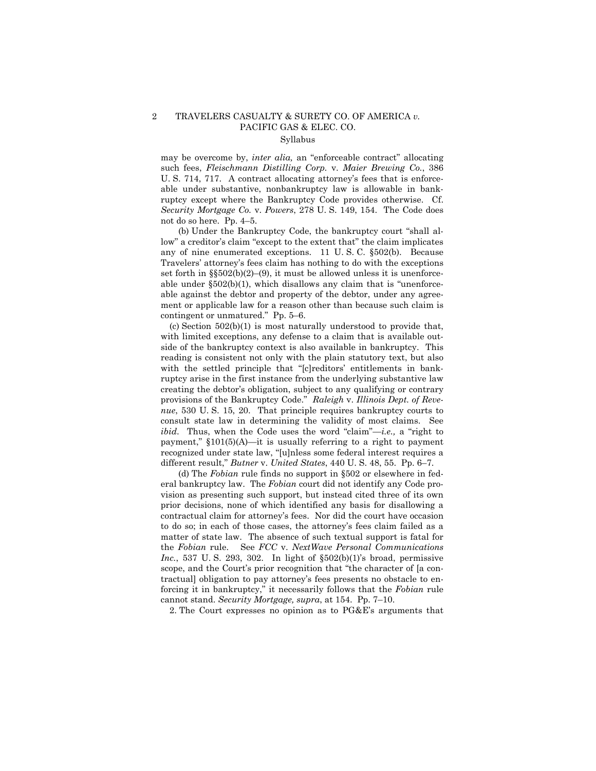# 2 TRAVELERS CASUALTY & SURETY CO. OF AMERICA *v.* PACIFIC GAS & ELEC. CO.

# Syllabus

may be overcome by, *inter alia,* an "enforceable contract" allocating such fees, *Fleischmann Distilling Corp.* v. *Maier Brewing Co.*, 386 U. S. 714, 717. A contract allocating attorney's fees that is enforceable under substantive, nonbankruptcy law is allowable in bankruptcy except where the Bankruptcy Code provides otherwise. Cf. *Security Mortgage Co.* v. *Powers*, 278 U. S. 149, 154. The Code does not do so here. Pp. 4–5.

(b) Under the Bankruptcy Code, the bankruptcy court "shall allow" a creditor's claim "except to the extent that" the claim implicates any of nine enumerated exceptions. 11 U. S. C. §502(b). Because Travelers' attorney's fees claim has nothing to do with the exceptions set forth in §§502(b)(2)–(9), it must be allowed unless it is unenforceable under §502(b)(1), which disallows any claim that is "unenforceable against the debtor and property of the debtor, under any agreement or applicable law for a reason other than because such claim is contingent or unmatured." Pp. 5–6.

(c) Section 502(b)(1) is most naturally understood to provide that, with limited exceptions, any defense to a claim that is available outside of the bankruptcy context is also available in bankruptcy. This reading is consistent not only with the plain statutory text, but also with the settled principle that "[c]reditors' entitlements in bankruptcy arise in the first instance from the underlying substantive law creating the debtor's obligation, subject to any qualifying or contrary provisions of the Bankruptcy Code." *Raleigh* v. *Illinois Dept. of Revenue*, 530 U. S. 15, 20. That principle requires bankruptcy courts to consult state law in determining the validity of most claims. See *ibid*. Thus, when the Code uses the word "claim"—*i.e.,* a "right to payment,"  $$101(5)(A)$ —it is usually referring to a right to payment recognized under state law, "[u]nless some federal interest requires a different result," *Butner* v. *United States*, 440 U. S. 48, 55. Pp. 6–7.

(d) The *Fobian* rule finds no support in §502 or elsewhere in federal bankruptcy law. The *Fobian* court did not identify any Code provision as presenting such support, but instead cited three of its own prior decisions, none of which identified any basis for disallowing a contractual claim for attorney's fees. Nor did the court have occasion to do so; in each of those cases, the attorney's fees claim failed as a matter of state law. The absence of such textual support is fatal for the *Fobian* rule. See *FCC* v. *NextWave Personal Communications Inc.*, 537 U.S. 293, 302. In light of  $\S502(b)(1)$ 's broad, permissive scope, and the Court's prior recognition that "the character of [a contractual] obligation to pay attorney's fees presents no obstacle to enforcing it in bankruptcy," it necessarily follows that the *Fobian* rule cannot stand. *Security Mortgage, supra*, at 154. Pp. 7–10.

2. The Court expresses no opinion as to PG&E's arguments that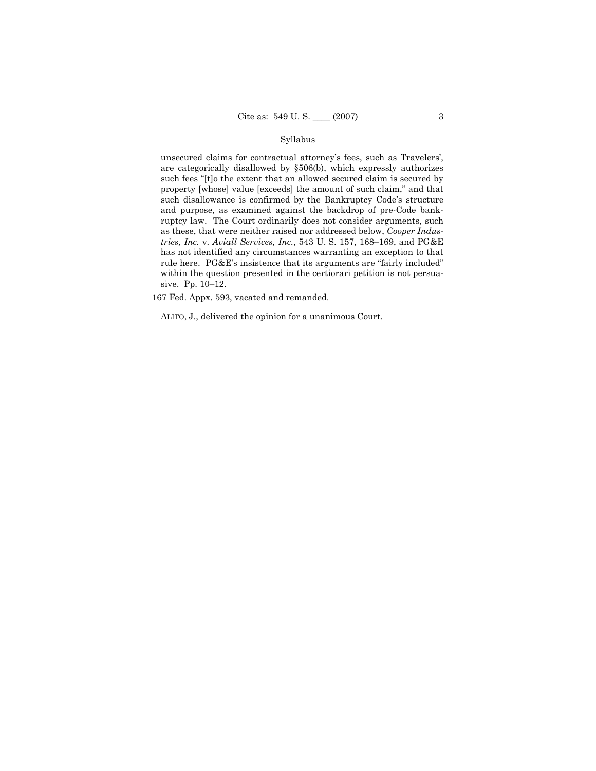### Syllabus

unsecured claims for contractual attorney's fees, such as Travelers', are categorically disallowed by §506(b), which expressly authorizes such fees "[t]o the extent that an allowed secured claim is secured by property [whose] value [exceeds] the amount of such claim," and that such disallowance is confirmed by the Bankruptcy Code's structure and purpose, as examined against the backdrop of pre-Code bankruptcy law. The Court ordinarily does not consider arguments, such as these, that were neither raised nor addressed below, *Cooper Industries, Inc.* v. *Aviall Services, Inc.*, 543 U. S. 157, 168–169, and PG&E has not identified any circumstances warranting an exception to that rule here. PG&E's insistence that its arguments are "fairly included" within the question presented in the certiorari petition is not persuasive. Pp. 10–12.

167 Fed. Appx. 593, vacated and remanded.

ALITO, J., delivered the opinion for a unanimous Court.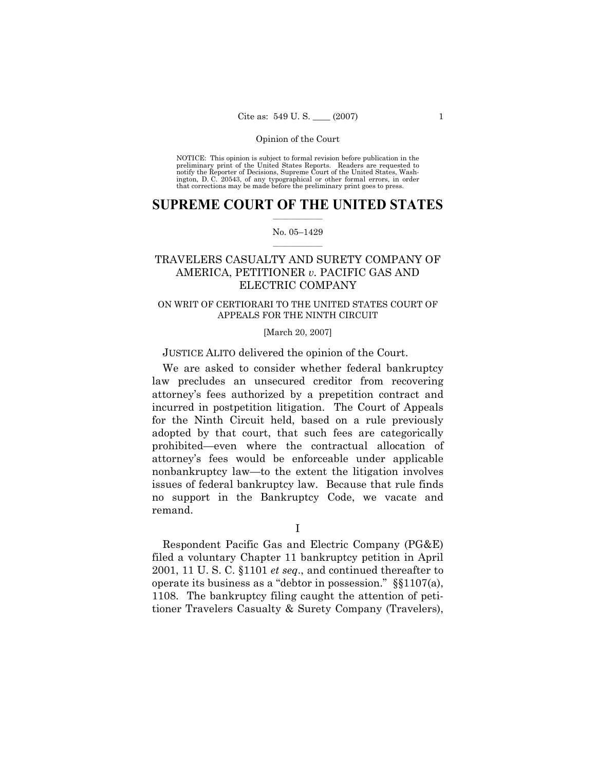NOTICE: This opinion is subject to formal revision before publication in the preliminary print of the United States Reports. Readers are requested to notify the Reporter of Decisions, Supreme Court of the United States, Washington, D. C. 20543, of any typographical or other formal errors, in order that corrections may be made before the preliminary print goes to press.

## $\frac{1}{2}$  ,  $\frac{1}{2}$  ,  $\frac{1}{2}$  ,  $\frac{1}{2}$  ,  $\frac{1}{2}$  ,  $\frac{1}{2}$  ,  $\frac{1}{2}$ **SUPREME COURT OF THE UNITED STATES**

### $\mathcal{L}=\mathcal{L}$ No. 05–1429

# TRAVELERS CASUALTY AND SURETY COMPANY OF AMERICA, PETITIONER *v.* PACIFIC GAS AND ELECTRIC COMPANY

# ON WRIT OF CERTIORARI TO THE UNITED STATES COURT OF APPEALS FOR THE NINTH CIRCUIT

# [March 20, 2007]

# JUSTICE ALITO delivered the opinion of the Court.

We are asked to consider whether federal bankruptcy law precludes an unsecured creditor from recovering attorney's fees authorized by a prepetition contract and incurred in postpetition litigation. The Court of Appeals for the Ninth Circuit held, based on a rule previously adopted by that court, that such fees are categorically prohibited—even where the contractual allocation of attorney's fees would be enforceable under applicable nonbankruptcy law—to the extent the litigation involves issues of federal bankruptcy law. Because that rule finds no support in the Bankruptcy Code, we vacate and remand.

I

Respondent Pacific Gas and Electric Company (PG&E) filed a voluntary Chapter 11 bankruptcy petition in April 2001, 11 U. S. C. §1101 *et seq*., and continued thereafter to operate its business as a "debtor in possession." §§1107(a), 1108. The bankruptcy filing caught the attention of petitioner Travelers Casualty & Surety Company (Travelers),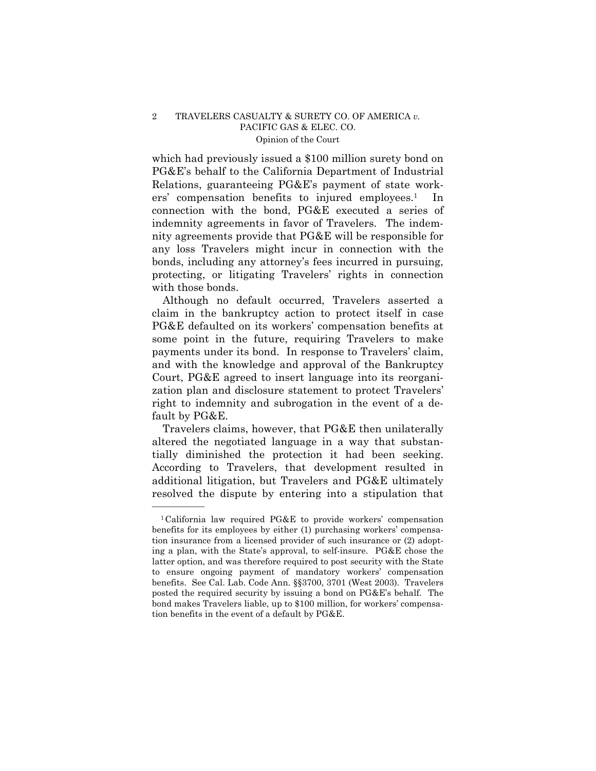which had previously issued a \$100 million surety bond on PG&E's behalf to the California Department of Industrial Relations, guaranteeing PG&E's payment of state workers' compensation benefits to injured employees.<sup>1</sup> In connection with the bond, PG&E executed a series of indemnity agreements in favor of Travelers. The indemnity agreements provide that PG&E will be responsible for any loss Travelers might incur in connection with the bonds, including any attorney's fees incurred in pursuing, protecting, or litigating Travelers' rights in connection with those bonds.

Although no default occurred, Travelers asserted a claim in the bankruptcy action to protect itself in case PG&E defaulted on its workers' compensation benefits at some point in the future, requiring Travelers to make payments under its bond. In response to Travelers' claim, and with the knowledge and approval of the Bankruptcy Court, PG&E agreed to insert language into its reorganization plan and disclosure statement to protect Travelers' right to indemnity and subrogation in the event of a default by PG&E.

Travelers claims, however, that PG&E then unilaterally altered the negotiated language in a way that substantially diminished the protection it had been seeking. According to Travelers, that development resulted in additional litigation, but Travelers and PG&E ultimately resolved the dispute by entering into a stipulation that

<sup>1</sup>California law required PG&E to provide workers' compensation benefits for its employees by either (1) purchasing workers' compensation insurance from a licensed provider of such insurance or (2) adopting a plan, with the State's approval, to self-insure. PG&E chose the latter option, and was therefore required to post security with the State to ensure ongoing payment of mandatory workers' compensation benefits. See Cal. Lab. Code Ann. §§3700, 3701 (West 2003). Travelers posted the required security by issuing a bond on PG&E's behalf. The bond makes Travelers liable, up to \$100 million, for workers' compensation benefits in the event of a default by PG&E.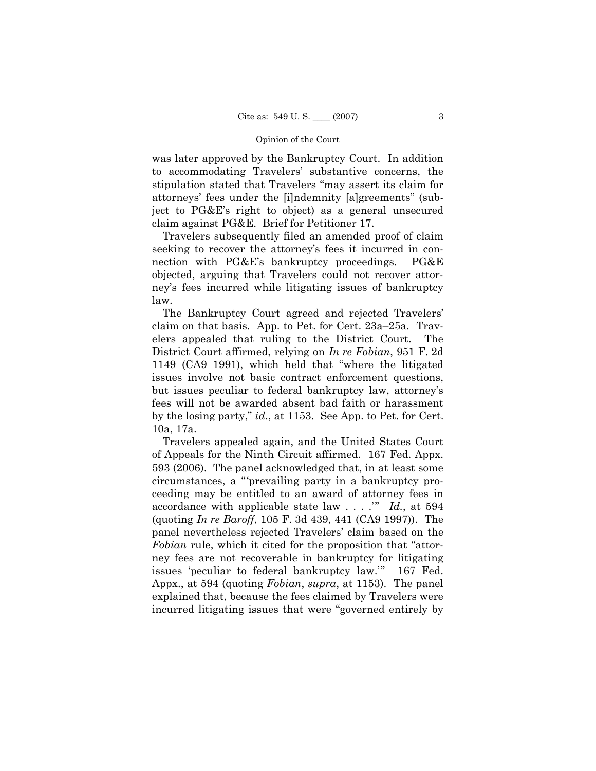was later approved by the Bankruptcy Court. In addition to accommodating Travelers' substantive concerns, the stipulation stated that Travelers "may assert its claim for attorneys' fees under the [i]ndemnity [a]greements" (subject to PG&E's right to object) as a general unsecured claim against PG&E. Brief for Petitioner 17.

Travelers subsequently filed an amended proof of claim seeking to recover the attorney's fees it incurred in connection with PG&E's bankruptcy proceedings. PG&E objected, arguing that Travelers could not recover attorney's fees incurred while litigating issues of bankruptcy law.

The Bankruptcy Court agreed and rejected Travelers' claim on that basis. App. to Pet. for Cert. 23a–25a. Travelers appealed that ruling to the District Court. The District Court affirmed, relying on *In re Fobian*, 951 F. 2d 1149 (CA9 1991), which held that "where the litigated issues involve not basic contract enforcement questions, but issues peculiar to federal bankruptcy law, attorney's fees will not be awarded absent bad faith or harassment by the losing party," *id*., at 1153. See App. to Pet. for Cert. 10a, 17a.

Travelers appealed again, and the United States Court of Appeals for the Ninth Circuit affirmed. 167 Fed. Appx. 593 (2006). The panel acknowledged that, in at least some circumstances, a "'prevailing party in a bankruptcy proceeding may be entitled to an award of attorney fees in accordance with applicable state law . . . .'" *Id.*, at 594 (quoting *In re Baroff*, 105 F. 3d 439, 441 (CA9 1997)). The panel nevertheless rejected Travelers' claim based on the *Fobian* rule, which it cited for the proposition that "attorney fees are not recoverable in bankruptcy for litigating issues 'peculiar to federal bankruptcy law.'" 167 Fed. Appx., at 594 (quoting *Fobian*, *supra*, at 1153). The panel explained that, because the fees claimed by Travelers were incurred litigating issues that were "governed entirely by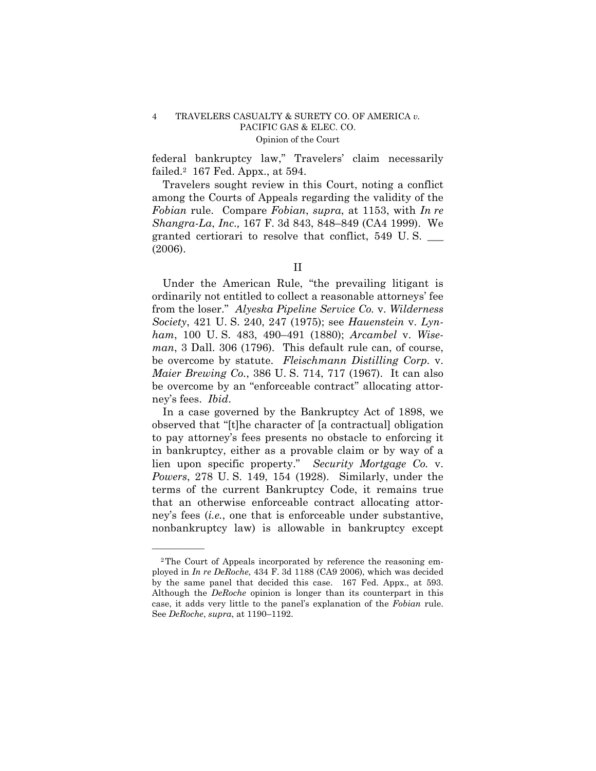federal bankruptcy law," Travelers' claim necessarily failed.2 167 Fed. Appx., at 594.

Travelers sought review in this Court, noting a conflict among the Courts of Appeals regarding the validity of the *Fobian* rule. Compare *Fobian*, *supra*, at 1153, with *In re Shangra-La*, *Inc*.*,* 167 F. 3d 843, 848–849 (CA4 1999). We granted certiorari to resolve that conflict, 549 U. S. \_\_\_ (2006).

Under the American Rule, "the prevailing litigant is ordinarily not entitled to collect a reasonable attorneys' fee from the loser." *Alyeska Pipeline Service Co.* v. *Wilderness Society*, 421 U. S. 240, 247 (1975); see *Hauenstein* v. *Lynham*, 100 U. S. 483, 490–491 (1880); *Arcambel* v. *Wiseman*, 3 Dall. 306 (1796). This default rule can, of course, be overcome by statute. *Fleischmann Distilling Corp.* v. *Maier Brewing Co.*, 386 U. S. 714, 717 (1967). It can also be overcome by an "enforceable contract" allocating attorney's fees. *Ibid*.

In a case governed by the Bankruptcy Act of 1898, we observed that "[t]he character of [a contractual] obligation to pay attorney's fees presents no obstacle to enforcing it in bankruptcy, either as a provable claim or by way of a lien upon specific property." *Security Mortgage Co.* v. *Powers*, 278 U. S. 149, 154 (1928). Similarly, under the terms of the current Bankruptcy Code, it remains true that an otherwise enforceable contract allocating attorney's fees (*i.e.*, one that is enforceable under substantive, nonbankruptcy law) is allowable in bankruptcy except

II

<sup>2</sup>The Court of Appeals incorporated by reference the reasoning employed in *In re DeRoche*, 434 F. 3d 1188 (CA9 2006), which was decided by the same panel that decided this case. 167 Fed. Appx., at 593. Although the *DeRoche* opinion is longer than its counterpart in this case, it adds very little to the panel's explanation of the *Fobian* rule. See *DeRoche*, *supra*, at 1190–1192.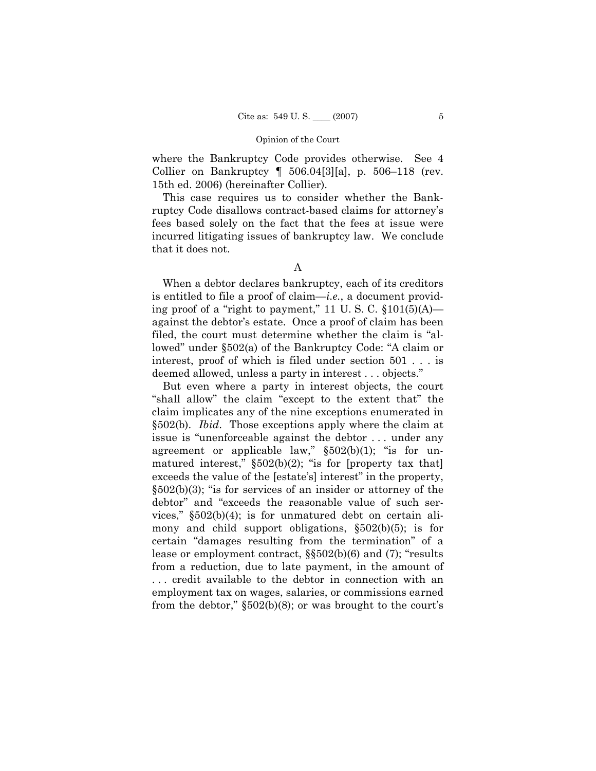where the Bankruptcy Code provides otherwise. See 4 Collier on Bankruptcy ¶ 506.04[3][a], p. 506–118 (rev. 15th ed. 2006) (hereinafter Collier).

This case requires us to consider whether the Bankruptcy Code disallows contract-based claims for attorney's fees based solely on the fact that the fees at issue were incurred litigating issues of bankruptcy law. We conclude that it does not.

When a debtor declares bankruptcy, each of its creditors is entitled to file a proof of claim—*i.e.*, a document providing proof of a "right to payment," 11 U.S.C.  $$101(5)(A)$  against the debtor's estate. Once a proof of claim has been filed, the court must determine whether the claim is "allowed" under §502(a) of the Bankruptcy Code: "A claim or interest, proof of which is filed under section 501 . . . is deemed allowed, unless a party in interest . . . objects."

But even where a party in interest objects, the court "shall allow" the claim "except to the extent that" the claim implicates any of the nine exceptions enumerated in §502(b). *Ibid*. Those exceptions apply where the claim at issue is "unenforceable against the debtor . . . under any agreement or applicable law,"  $\S502(b)(1)$ ; "is for unmatured interest,"  $\S502(b)(2)$ ; "is for [property tax that] exceeds the value of the [estate's] interest" in the property, §502(b)(3); "is for services of an insider or attorney of the debtor" and "exceeds the reasonable value of such services," §502(b)(4); is for unmatured debt on certain alimony and child support obligations, §502(b)(5); is for certain "damages resulting from the termination" of a lease or employment contract, §§502(b)(6) and (7); "results from a reduction, due to late payment, in the amount of . . . credit available to the debtor in connection with an employment tax on wages, salaries, or commissions earned from the debtor," §502(b)(8); or was brought to the court's

A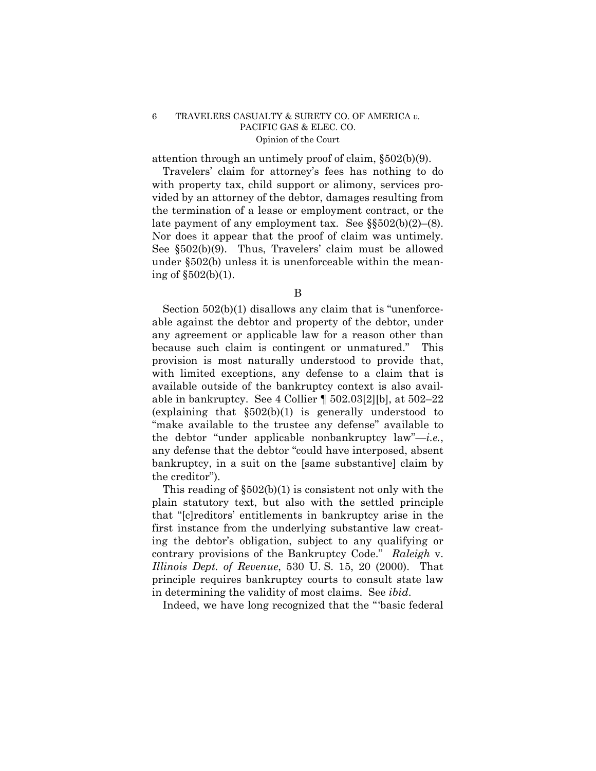attention through an untimely proof of claim, §502(b)(9).

Travelers' claim for attorney's fees has nothing to do with property tax, child support or alimony, services provided by an attorney of the debtor, damages resulting from the termination of a lease or employment contract, or the late payment of any employment tax. See  $\S$  $502(b)(2)–(8)$ . Nor does it appear that the proof of claim was untimely. See §502(b)(9). Thus, Travelers' claim must be allowed under §502(b) unless it is unenforceable within the meaning of §502(b)(1).

Section 502(b)(1) disallows any claim that is "unenforceable against the debtor and property of the debtor, under any agreement or applicable law for a reason other than because such claim is contingent or unmatured." This provision is most naturally understood to provide that, with limited exceptions, any defense to a claim that is available outside of the bankruptcy context is also available in bankruptcy. See 4 Collier ¶ 502.03[2][b], at 502–22 (explaining that §502(b)(1) is generally understood to "make available to the trustee any defense" available to the debtor "under applicable nonbankruptcy law"—*i.e.*, any defense that the debtor "could have interposed, absent bankruptcy, in a suit on the [same substantive] claim by the creditor").

This reading of §502(b)(1) is consistent not only with the plain statutory text, but also with the settled principle that "[c]reditors' entitlements in bankruptcy arise in the first instance from the underlying substantive law creating the debtor's obligation, subject to any qualifying or contrary provisions of the Bankruptcy Code." *Raleigh* v. *Illinois Dept. of Revenue*, 530 U. S. 15, 20 (2000). That principle requires bankruptcy courts to consult state law in determining the validity of most claims. See *ibid*.

Indeed, we have long recognized that the "'basic federal

B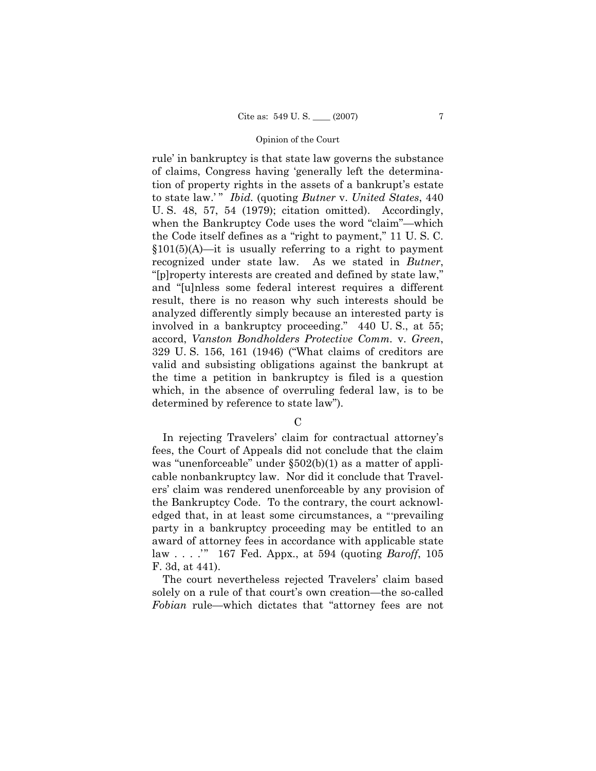rule' in bankruptcy is that state law governs the substance of claims, Congress having 'generally left the determination of property rights in the assets of a bankrupt's estate to state law.' " *Ibid.* (quoting *Butner* v. *United States*, 440 U. S. 48, 57, 54 (1979); citation omitted). Accordingly, when the Bankruptcy Code uses the word "claim"—which the Code itself defines as a "right to payment," 11 U. S. C.  $§101(5)$ (A)—it is usually referring to a right to payment recognized under state law. As we stated in *Butner*, "[p]roperty interests are created and defined by state law," and "[u]nless some federal interest requires a different result, there is no reason why such interests should be analyzed differently simply because an interested party is involved in a bankruptcy proceeding." 440 U. S., at 55; accord, *Vanston Bondholders Protective Comm.* v. *Green*, 329 U. S. 156, 161 (1946) ("What claims of creditors are valid and subsisting obligations against the bankrupt at the time a petition in bankruptcy is filed is a question which, in the absence of overruling federal law, is to be determined by reference to state law").

 $\mathcal{C}$ 

In rejecting Travelers' claim for contractual attorney's fees, the Court of Appeals did not conclude that the claim was "unenforceable" under  $\S502(b)(1)$  as a matter of applicable nonbankruptcy law. Nor did it conclude that Travelers' claim was rendered unenforceable by any provision of the Bankruptcy Code. To the contrary, the court acknowledged that, in at least some circumstances, a " 'prevailing party in a bankruptcy proceeding may be entitled to an award of attorney fees in accordance with applicable state law . . . .'" 167 Fed. Appx., at 594 (quoting *Baroff*, 105 F. 3d, at 441).

The court nevertheless rejected Travelers' claim based solely on a rule of that court's own creation—the so-called *Fobian* rule—which dictates that "attorney fees are not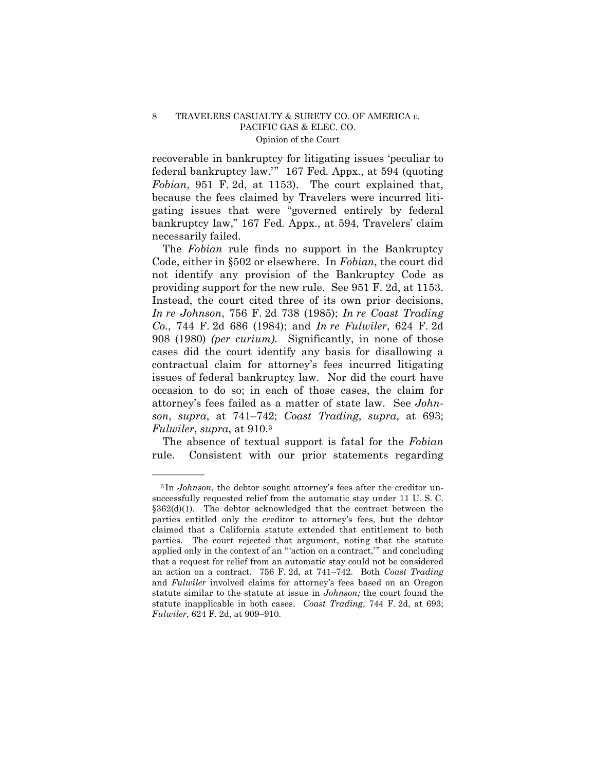recoverable in bankruptcy for litigating issues 'peculiar to federal bankruptcy law.'" 167 Fed. Appx., at 594 (quoting *Fobian*, 951 F. 2d, at 1153). The court explained that, because the fees claimed by Travelers were incurred litigating issues that were "governed entirely by federal bankruptcy law," 167 Fed. Appx., at 594, Travelers' claim necessarily failed.

The *Fobian* rule finds no support in the Bankruptcy Code, either in §502 or elsewhere. In *Fobian*, the court did not identify any provision of the Bankruptcy Code as providing support for the new rule. See 951 F. 2d, at 1153. Instead, the court cited three of its own prior decisions, *In re Johnson*, 756 F. 2d 738 (1985); *In re Coast Trading Co.*, 744 F. 2d 686 (1984); and *In re Fulwiler*, 624 F. 2d 908 (1980) *(per curium)*. Significantly, in none of those cases did the court identify any basis for disallowing a contractual claim for attorney's fees incurred litigating issues of federal bankruptcy law. Nor did the court have occasion to do so; in each of those cases, the claim for attorney's fees failed as a matter of state law. See *Johnson*, *supra*, at 741–742; *Coast Trading*, *supra*, at 693; *Fulwiler*, *supra*, at 910.3

The absence of textual support is fatal for the *Fobian*  rule. Consistent with our prior statements regarding

<sup>&</sup>lt;sup>3</sup>In *Johnson*, the debtor sought attorney's fees after the creditor unsuccessfully requested relief from the automatic stay under 11 U. S. C. §362(d)(1). The debtor acknowledged that the contract between the parties entitled only the creditor to attorney's fees, but the debtor claimed that a California statute extended that entitlement to both parties. The court rejected that argument, noting that the statute applied only in the context of an "'action on a contract,'" and concluding that a request for relief from an automatic stay could not be considered an action on a contract. 756 F. 2d, at 741–742. Both *Coast Trading* and *Fulwiler* involved claims for attorney's fees based on an Oregon statute similar to the statute at issue in *Johnson;* the court found the statute inapplicable in both cases. *Coast Trading*, 744 F. 2d, at 693; *Fulwiler*, 624 F. 2d, at 909–910.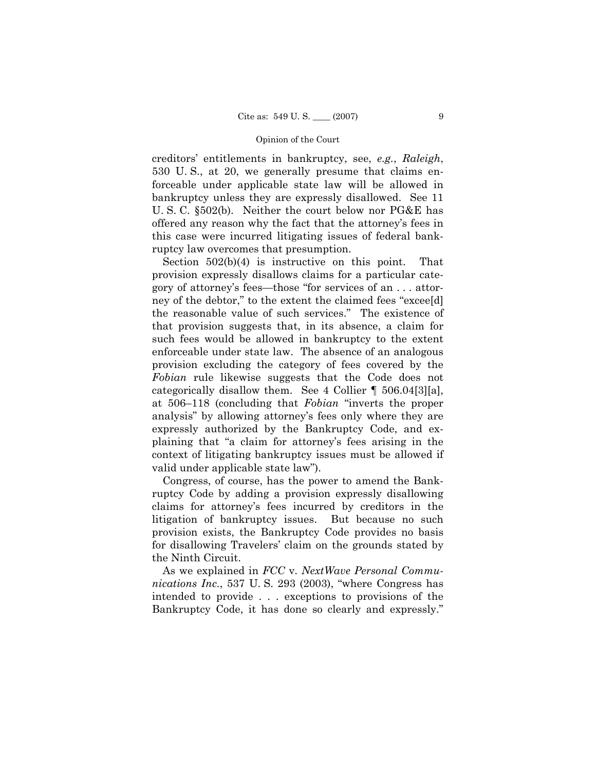creditors' entitlements in bankruptcy, see, *e.g.*, *Raleigh*, 530 U. S., at 20, we generally presume that claims enforceable under applicable state law will be allowed in bankruptcy unless they are expressly disallowed. See 11 U. S. C. §502(b). Neither the court below nor PG&E has offered any reason why the fact that the attorney's fees in this case were incurred litigating issues of federal bankruptcy law overcomes that presumption.

Section 502(b)(4) is instructive on this point. That provision expressly disallows claims for a particular category of attorney's fees—those "for services of an . . . attorney of the debtor," to the extent the claimed fees "excee[d] the reasonable value of such services." The existence of that provision suggests that, in its absence, a claim for such fees would be allowed in bankruptcy to the extent enforceable under state law. The absence of an analogous provision excluding the category of fees covered by the *Fobian* rule likewise suggests that the Code does not categorically disallow them. See 4 Collier ¶ 506.04[3][a], at 506–118 (concluding that *Fobian* "inverts the proper analysis" by allowing attorney's fees only where they are expressly authorized by the Bankruptcy Code, and explaining that "a claim for attorney's fees arising in the context of litigating bankruptcy issues must be allowed if valid under applicable state law").

Congress, of course, has the power to amend the Bankruptcy Code by adding a provision expressly disallowing claims for attorney's fees incurred by creditors in the litigation of bankruptcy issues. But because no such provision exists, the Bankruptcy Code provides no basis for disallowing Travelers' claim on the grounds stated by the Ninth Circuit.

As we explained in *FCC* v. *NextWave Personal Communications Inc.*, 537 U. S. 293 (2003), "where Congress has intended to provide . . . exceptions to provisions of the Bankruptcy Code, it has done so clearly and expressly."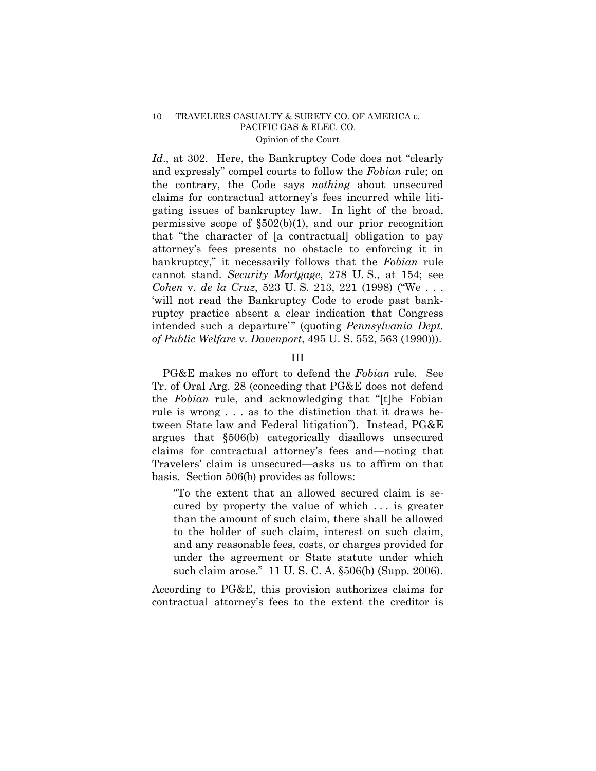*Id.*, at 302. Here, the Bankruptcy Code does not "clearly and expressly" compel courts to follow the *Fobian* rule; on the contrary, the Code says *nothing* about unsecured claims for contractual attorney's fees incurred while litigating issues of bankruptcy law. In light of the broad, permissive scope of  $\S502(b)(1)$ , and our prior recognition that "the character of [a contractual] obligation to pay attorney's fees presents no obstacle to enforcing it in bankruptcy," it necessarily follows that the *Fobian* rule cannot stand. *Security Mortgage*, 278 U. S., at 154; see *Cohen* v. *de la Cruz*, 523 U. S. 213, 221 (1998) ("We . . . 'will not read the Bankruptcy Code to erode past bankruptcy practice absent a clear indication that Congress intended such a departure'" (quoting *Pennsylvania Dept. of Public Welfare* v. *Davenport*, 495 U. S. 552, 563 (1990))).

# III

PG&E makes no effort to defend the *Fobian* rule. See Tr. of Oral Arg. 28 (conceding that PG&E does not defend the *Fobian* rule, and acknowledging that "[t]he Fobian rule is wrong . . . as to the distinction that it draws between State law and Federal litigation"). Instead, PG&E argues that §506(b) categorically disallows unsecured claims for contractual attorney's fees and—noting that Travelers' claim is unsecured—asks us to affirm on that basis. Section 506(b) provides as follows:

"To the extent that an allowed secured claim is secured by property the value of which . . . is greater than the amount of such claim, there shall be allowed to the holder of such claim, interest on such claim, and any reasonable fees, costs, or charges provided for under the agreement or State statute under which such claim arose." 11 U. S. C. A. §506(b) (Supp. 2006).

According to PG&E, this provision authorizes claims for contractual attorney's fees to the extent the creditor is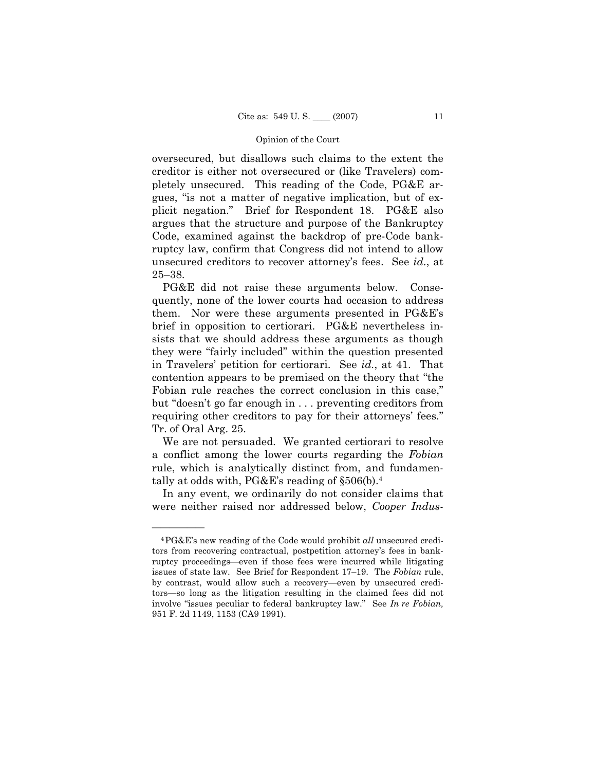oversecured, but disallows such claims to the extent the creditor is either not oversecured or (like Travelers) completely unsecured. This reading of the Code, PG&E argues, "is not a matter of negative implication, but of explicit negation." Brief for Respondent 18. PG&E also argues that the structure and purpose of the Bankruptcy Code, examined against the backdrop of pre-Code bankruptcy law, confirm that Congress did not intend to allow unsecured creditors to recover attorney's fees. See *id*., at 25–38.

PG&E did not raise these arguments below. Consequently, none of the lower courts had occasion to address them. Nor were these arguments presented in PG&E's brief in opposition to certiorari. PG&E nevertheless insists that we should address these arguments as though they were "fairly included" within the question presented in Travelers' petition for certiorari. See *id.*, at 41. That contention appears to be premised on the theory that "the Fobian rule reaches the correct conclusion in this case," but "doesn't go far enough in . . . preventing creditors from requiring other creditors to pay for their attorneys' fees." Tr. of Oral Arg. 25.

We are not persuaded. We granted certiorari to resolve a conflict among the lower courts regarding the *Fobian*  rule, which is analytically distinct from, and fundamentally at odds with, PG&E's reading of §506(b).4

In any event, we ordinarily do not consider claims that were neither raised nor addressed below, *Cooper Indus-*

<sup>4</sup>PG&E's new reading of the Code would prohibit *all* unsecured creditors from recovering contractual, postpetition attorney's fees in bankruptcy proceedings—even if those fees were incurred while litigating issues of state law. See Brief for Respondent 17–19. The *Fobian* rule, by contrast, would allow such a recovery—even by unsecured creditors—so long as the litigation resulting in the claimed fees did not involve "issues peculiar to federal bankruptcy law." See *In re Fobian,*  951 F. 2d 1149, 1153 (CA9 1991).